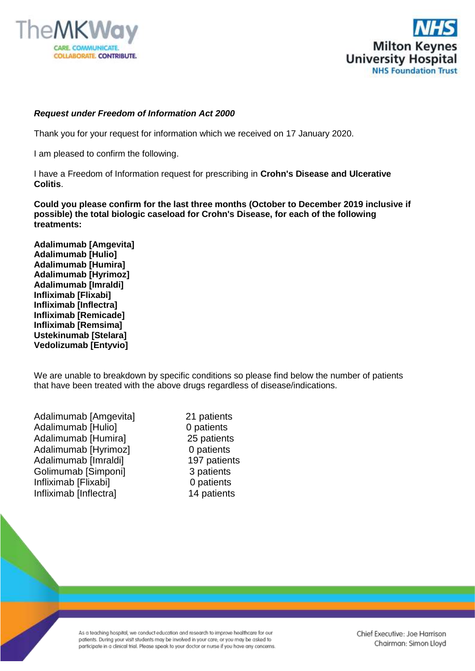



## *Request under Freedom of Information Act 2000*

Thank you for your request for information which we received on 17 January 2020.

I am pleased to confirm the following.

I have a Freedom of Information request for prescribing in **Crohn's Disease and Ulcerative Colitis**.

**Could you please confirm for the last three months (October to December 2019 inclusive if possible) the total biologic caseload for Crohn's Disease, for each of the following treatments:**

**Adalimumab [Amgevita] Adalimumab [Hulio] Adalimumab [Humira] Adalimumab [Hyrimoz] Adalimumab [Imraldi] Infliximab [Flixabi] Infliximab [Inflectra] Infliximab [Remicade] Infliximab [Remsima] Ustekinumab [Stelara] Vedolizumab [Entyvio]**

We are unable to breakdown by specific conditions so please find below the number of patients that have been treated with the above drugs regardless of disease/indications.

| Adalimumab [Amgevita]  |
|------------------------|
| Adalimumab [Hulio]     |
| Adalimumab [Humira]    |
| Adalimumab [Hyrimoz]   |
| Adalimumab [Imraldi]   |
| Golimumab [Simponi]    |
| Infliximab [Flixabi]   |
| Infliximab [Inflectra] |

21 patients 0 patients 25 patients 0 patients 197 patients 3 patients 0 patients 14 patients

As a teaching hospital, we conduct education and research to improve healthcare for our patients. During your visit students may be involved in your care, or you may be asked to participate in a clinical trial. Please speak to your doctor or nurse if you have any concerns. Chief Executive: Joe Harrison Chairman: Simon Lloyd